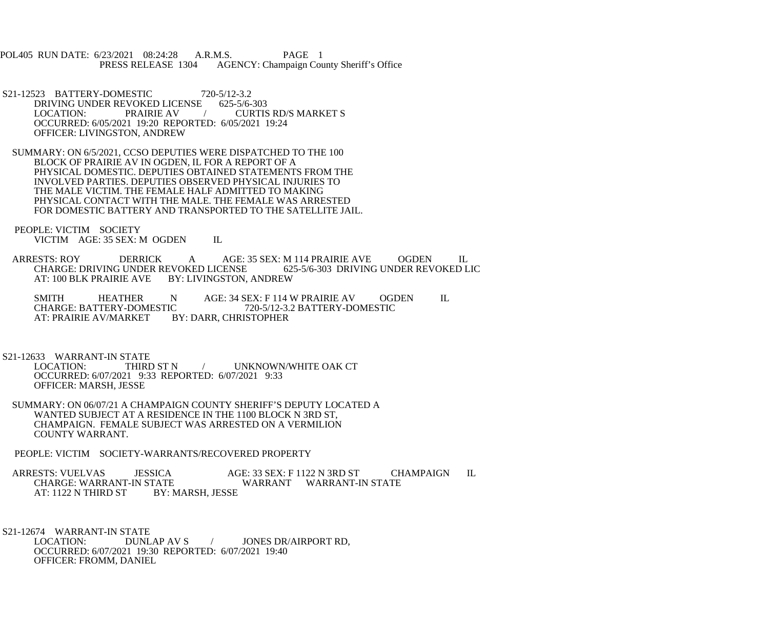POL405 RUN DATE: 6/23/2021 08:24:28 A.R.M.S. PAGE 1<br>PRESS RELEASE 1304 AGENCY: Champaign Cou AGENCY: Champaign County Sheriff's Office

- S21-12523 BATTERY-DOMESTIC 720-5/12-3.2<br>DRIVING UNDER REVOKED LICENSE 625-5/6-303 DRIVING UNDER REVOKED LICENSE<br>LOCATION: PRAIRIE AV / CURTIS RD/S MARKET S OCCURRED: 6/05/2021 19:20 REPORTED: 6/05/2021 19:24 OFFICER: LIVINGSTON, ANDREW
- SUMMARY: ON 6/5/2021, CCSO DEPUTIES WERE DISPATCHED TO THE 100 BLOCK OF PRAIRIE AV IN OGDEN, IL FOR A REPORT OF A PHYSICAL DOMESTIC. DEPUTIES OBTAINED STATEMENTS FROM THE INVOLVED PARTIES. DEPUTIES OBSERVED PHYSICAL INJURIES TO THE MALE VICTIM. THE FEMALE HALF ADMITTED TO MAKING PHYSICAL CONTACT WITH THE MALE. THE FEMALE WAS ARRESTED FOR DOMESTIC BATTERY AND TRANSPORTED TO THE SATELLITE JAIL.
- PEOPLE: VICTIM SOCIETY VICTIM AGE: 35 SEX: M OGDEN IL
- ARRESTS: ROY DERRICK A AGE: 35 SEX: M 114 PRAIRIE AVE OGDEN IL<br>CHARGE: DRIVING UNDER REVOKED LICENSE 625-5/6-303 DRIVING UNDER REVOKED LIC CHARGE: DRIVING UNDER REVOKED LICENSE<br>AT: 100 BLK PRAIRIE AVE BY: LIVINGSTON. BY: LIVINGSTON, ANDREW
	- SMITH HEATHER N AGE: 34 SEX: F 114 W PRAIRIE AV OGDEN IL CHARGE: BATTERY-DOMESTIC 720-5/12-3.2 BATTERY-DOMESTIC CHARGE: BATTERY-DOMESTIC 720-5/12-3.2 BATTERY-DOMESTIC<br>AT: PRAIRIE AV/MARKET BY: DARR. CHRISTOPHER BY: DARR, CHRISTOPHER

S21-12633 WARRANT-IN STATE<br>LOCATION: THIRD ST N

- / UNKNOWN/WHITE OAK CT OCCURRED: 6/07/2021 9:33 REPORTED: 6/07/2021 9:33 OFFICER: MARSH, JESSE
- SUMMARY: ON 06/07/21 A CHAMPAIGN COUNTY SHERIFF'S DEPUTY LOCATED A WANTED SUBJECT AT A RESIDENCE IN THE 1100 BLOCK N 3RD ST, CHAMPAIGN. FEMALE SUBJECT WAS ARRESTED ON A VERMILION COUNTY WARRANT.
- PEOPLE: VICTIM SOCIETY-WARRANTS/RECOVERED PROPERTY
- ARRESTS: VUELVAS JESSICA AGE: 33 SEX: F 1122 N 3RD ST CHAMPAIGN IL<br>CHARGE: WARRANT-IN STATE WARRANT WARRANT-IN STATE TATE WARRANT WARRANT-IN STATE BY: MARSH, JESSE AT: 1122 N THIRD ST
- S21-12674 WARRANT-IN STATE<br>LOCATION: DUNL DUNLAP AV S / JONES DR/AIRPORT RD, OCCURRED: 6/07/2021 19:30 REPORTED: 6/07/2021 19:40 OFFICER: FROMM, DANIEL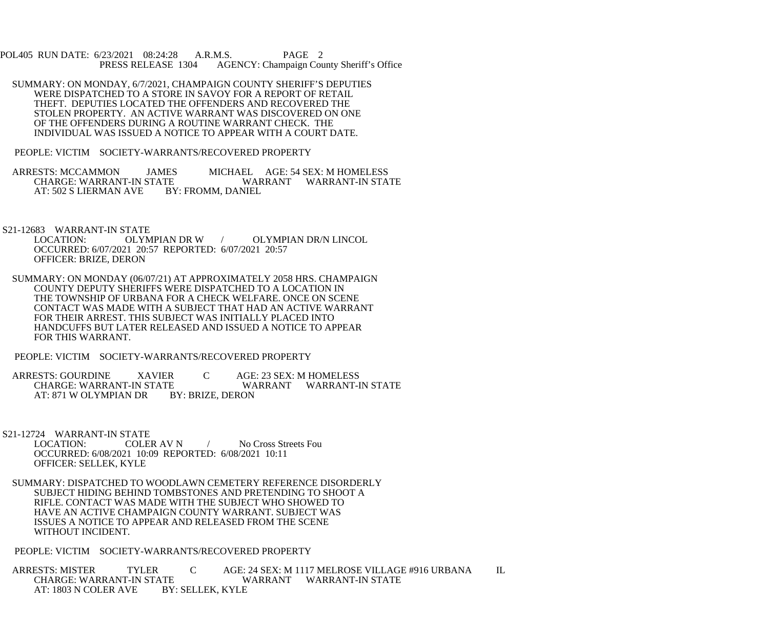POL405 RUN DATE: 6/23/2021 08:24:28 A.R.M.S. PAGE 2<br>PRESS RELEASE 1304 AGENCY: Champaign Cou AGENCY: Champaign County Sheriff's Office

 SUMMARY: ON MONDAY, 6/7/2021, CHAMPAIGN COUNTY SHERIFF'S DEPUTIES WERE DISPATCHED TO A STORE IN SAVOY FOR A REPORT OF RETAIL THEFT. DEPUTIES LOCATED THE OFFENDERS AND RECOVERED THE STOLEN PROPERTY. AN ACTIVE WARRANT WAS DISCOVERED ON ONE OF THE OFFENDERS DURING A ROUTINE WARRANT CHECK. THE INDIVIDUAL WAS ISSUED A NOTICE TO APPEAR WITH A COURT DATE.

PEOPLE: VICTIM SOCIETY-WARRANTS/RECOVERED PROPERTY

ARRESTS: MCCAMMON JAMES MICHAEL AGE: 54 SEX: M HOMELESS<br>CHARGE: WARRANT-IN STATE WARRANT WARRANT-IN STA TE WARRANT WARRANT-IN STATE<br>BY: FROMM, DANIEL AT: 502 S LIERMAN AVE

S21-12683 WARRANT-IN STATE<br>LOCATION: OLYMPIAN DR W / OLYMPIAN DR/N LINCOL OCCURRED: 6/07/2021 20:57 REPORTED: 6/07/2021 20:57 OFFICER: BRIZE, DERON

 SUMMARY: ON MONDAY (06/07/21) AT APPROXIMATELY 2058 HRS. CHAMPAIGN COUNTY DEPUTY SHERIFFS WERE DISPATCHED TO A LOCATION IN THE TOWNSHIP OF URBANA FOR A CHECK WELFARE. ONCE ON SCENE CONTACT WAS MADE WITH A SUBJECT THAT HAD AN ACTIVE WARRANT FOR THEIR ARREST. THIS SUBJECT WAS INITIALLY PLACED INTO HANDCUFFS BUT LATER RELEASED AND ISSUED A NOTICE TO APPEAR FOR THIS WARRANT.

PEOPLE: VICTIM SOCIETY-WARRANTS/RECOVERED PROPERTY

ARRESTS: GOURDINE XAVIER C AGE: 23 SEX: M HOMELESS<br>CHARGE: WARRANT-IN STATE WARRANT WARRANT-E WARRANT WARRANT-IN STATE<br>BY: BRIZE, DERON AT: 871 W OLYMPIAN DR

S21-12724 WARRANT-IN STATE

COLER AV N / No Cross Streets Fou OCCURRED: 6/08/2021 10:09 REPORTED: 6/08/2021 10:11 OFFICER: SELLEK, KYLE

 SUMMARY: DISPATCHED TO WOODLAWN CEMETERY REFERENCE DISORDERLY SUBJECT HIDING BEHIND TOMBSTONES AND PRETENDING TO SHOOT A RIFLE. CONTACT WAS MADE WITH THE SUBJECT WHO SHOWED TO HAVE AN ACTIVE CHAMPAIGN COUNTY WARRANT. SUBJECT WAS ISSUES A NOTICE TO APPEAR AND RELEASED FROM THE SCENE WITHOUT INCIDENT.

PEOPLE: VICTIM SOCIETY-WARRANTS/RECOVERED PROPERTY

ARRESTS: MISTER TYLER C AGE: 24 SEX: M 1117 MELROSE VILLAGE #916 URBANA IL CHARGE: WARRANT-IN STATE ATE WARRANT WARRANT-IN STATE BY: SELLEK. KYLE AT: 1803 N COLER AVE